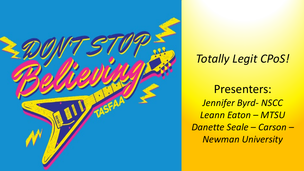

#### *Totally Legit CPoS!*

Presenters: *Jennifer Byrd- NSCC Leann Eaton – MTSU Danette Seale – Carson – Newman University*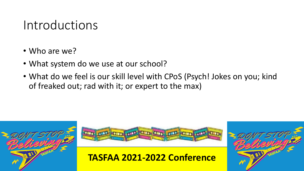#### Introductions

- Who are we?
- What system do we use at our school?
- What do we feel is our skill level with CPoS (Psych! Jokes on you; kind of freaked out; rad with it; or expert to the max)





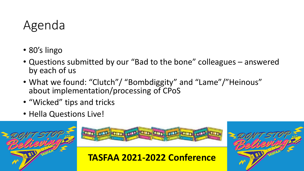### Agenda

- 80's lingo
- Questions submitted by our "Bad to the bone" colleagues answered by each of us
- What we found: "Clutch"/ "Bombdiggity" and "Lame"/"Heinous" about implementation/processing of CPoS
- "Wicked" tips and tricks
- Hella Questions Live!



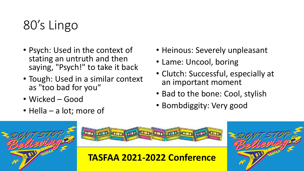# 80's Lingo

- Psych: Used in the context of stating an untruth and then saying, "Psych!" to take it back
- Tough: Used in a similar context as "too bad for you"
- Wicked Good
- Hella a lot; more of
- Heinous: Severely unpleasant
- Lame: Uncool, boring
- Clutch: Successful, especially at an important moment
- Bad to the bone: Cool, stylish
- Bombdiggity: Very good



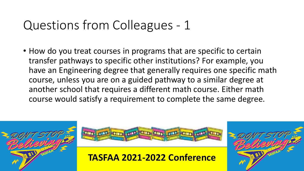• How do you treat courses in programs that are specific to certain transfer pathways to specific other institutions? For example, you have an Engineering degree that generally requires one specific math course, unless you are on a guided pathway to a similar degree at another school that requires a different math course. Either math course would satisfy a requirement to complete the same degree.





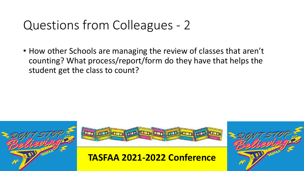• How other Schools are managing the review of classes that aren't counting? What process/report/form do they have that helps the student get the class to count?





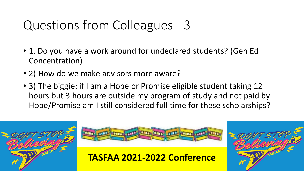- 1. Do you have a work around for undeclared students? (Gen Ed Concentration)
- 2) How do we make advisors more aware?
- 3) The biggie: if I am a Hope or Promise eligible student taking 12 hours but 3 hours are outside my program of study and not paid by Hope/Promise am I still considered full time for these scholarships?





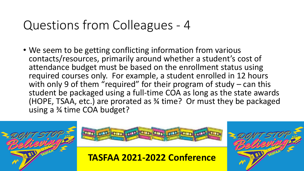• We seem to be getting conflicting information from various contacts/resources, primarily around whether a student's cost of attendance budget must be based on the enrollment status using required courses only. For example, a student enrolled in 12 hours with only 9 of them "required" for their program of study – can this student be packaged using a full-time COA as long as the state awards (HOPE, TSAA, etc.) are prorated as ¾ time? Or must they be packaged using a ¾ time COA budget?





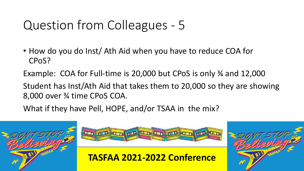• How do you do Inst/ Ath Aid when you have to reduce COA for CPoS?

Example: COA for Full-time is 20,000 but CPoS is only ¾ and 12,000

Student has Inst/Ath Aid that takes them to 20,000 so they are showing 8,000 over ¾ time CPoS COA.

What if they have Pell, HOPE, and/or TSAA in the mix?





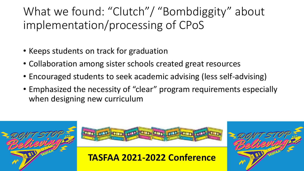What we found: "Clutch"/ "Bombdiggity" about implementation/processing of CPoS

- Keeps students on track for graduation
- Collaboration among sister schools created great resources
- Encouraged students to seek academic advising (less self-advising)
- Emphasized the necessity of "clear" program requirements especially when designing new curriculum





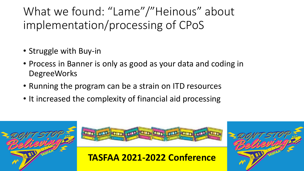What we found: "Lame"/"Heinous" about implementation/processing of CPoS

- Struggle with Buy-in
- Process in Banner is only as good as your data and coding in **DegreeWorks**
- Running the program can be a strain on ITD resources
- It increased the complexity of financial aid processing





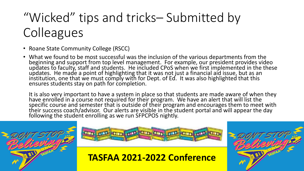# "Wicked" tips and tricks– Submitted by **Colleagues**

- Roane State Community College (RSCC)
- What we found to be most successful was the inclusion of the various departments from the beginning and support from top level management. For example, our president provides video<br>updates to faculty, staff and students. He included CPoS when we first implemented in the these<br>updates. He made a point of highlig

It is also very important to have a system in place so that students are made aware of when they have enrolled in a course not required for their program. We have an alert that will list the specific course and semester that is outside of their program and encourages them to meet with their success coach/advisor. Our alerts are visible in the student portal and will appear the day<br>following the student enrolling as we run SFPCPOS nightly.





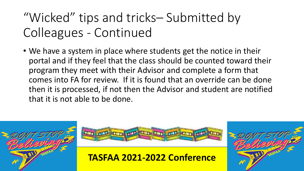## "Wicked" tips and tricks– Submitted by Colleagues - Continued

• We have a system in place where students get the notice in their portal and if they feel that the class should be counted toward their program they meet with their Advisor and complete a form that comes into FA for review. If it is found that an override can be done then it is processed, if not then the Advisor and student are notified that it is not able to be done.





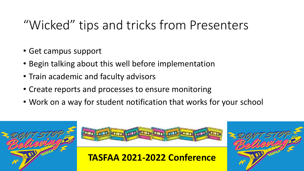## "Wicked" tips and tricks from Presenters

- Get campus support
- Begin talking about this well before implementation
- Train academic and faculty advisors
- Create reports and processes to ensure monitoring
- Work on a way for student notification that works for your school

![](_page_13_Picture_6.jpeg)

![](_page_13_Picture_7.jpeg)

![](_page_13_Picture_9.jpeg)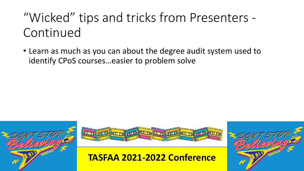## "Wicked" tips and tricks from Presenters - Continued

• Learn as much as you can about the degree audit system used to identify CPoS courses…easier to problem solve

![](_page_14_Picture_2.jpeg)

![](_page_14_Picture_3.jpeg)

![](_page_14_Picture_5.jpeg)